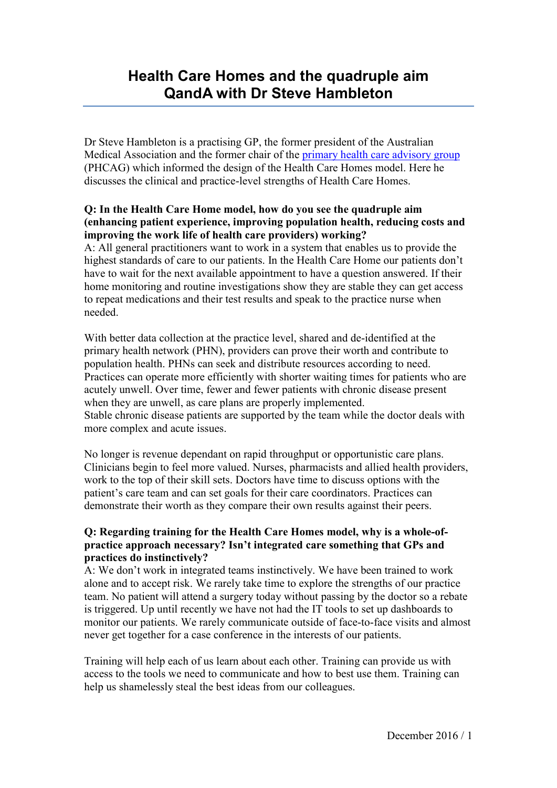# **Health Care Homes and the quadruple aim QandA with Dr Steve Hambleton**

Dr Steve Hambleton is a practising GP, the former president of the Australian Medical Association and the former chair of the [primary health care advisory group](http://www.health.gov.au/internet/main/publishing.nsf/Content/PrimaryHealthCareAdvisoryGroup-1) (PHCAG) which informed the design of the Health Care Homes model. Here he discusses the clinical and practice-level strengths of Health Care Homes.

#### **Q: In the Health Care Home model, how do you see the [quadruple aim](http://www.annfammed.org/content/12/6/573.full) (enhancing patient experience, improving population health, reducing costs and improving the work life of health care providers) working?**

A: All general practitioners want to work in a system that enables us to provide the highest standards of care to our patients. In the Health Care Home our patients don't have to wait for the next available appointment to have a question answered. If their home monitoring and routine investigations show they are stable they can get access to repeat medications and their test results and speak to the practice nurse when needed.

With better data collection at the practice level, shared and de-identified at the primary health network (PHN), providers can prove their worth and contribute to population health. PHNs can seek and distribute resources according to need. Practices can operate more efficiently with shorter waiting times for patients who are acutely unwell. Over time, fewer and fewer patients with chronic disease present when they are unwell, as care plans are properly implemented. Stable chronic disease patients are supported by the team while the doctor deals with more complex and acute issues.

No longer is revenue dependant on rapid throughput or opportunistic care plans. Clinicians begin to feel more valued. Nurses, pharmacists and allied health providers, work to the top of their skill sets. Doctors have time to discuss options with the patient's care team and can set goals for their care coordinators. Practices can demonstrate their worth as they compare their own results against their peers.

### **Q: Regarding training for the Health Care Homes model, why is a whole-ofpractice approach necessary? Isn't integrated care something that GPs and practices do instinctively?**

A: We don't work in integrated teams instinctively. We have been trained to work alone and to accept risk. We rarely take time to explore the strengths of our practice team. No patient will attend a surgery today without passing by the doctor so a rebate is triggered. Up until recently we have not had the IT tools to set up dashboards to monitor our patients. We rarely communicate outside of face-to-face visits and almost never get together for a case conference in the interests of our patients.

Training will help each of us learn about each other. Training can provide us with access to the tools we need to communicate and how to best use them. Training can help us shamelessly steal the best ideas from our colleagues.